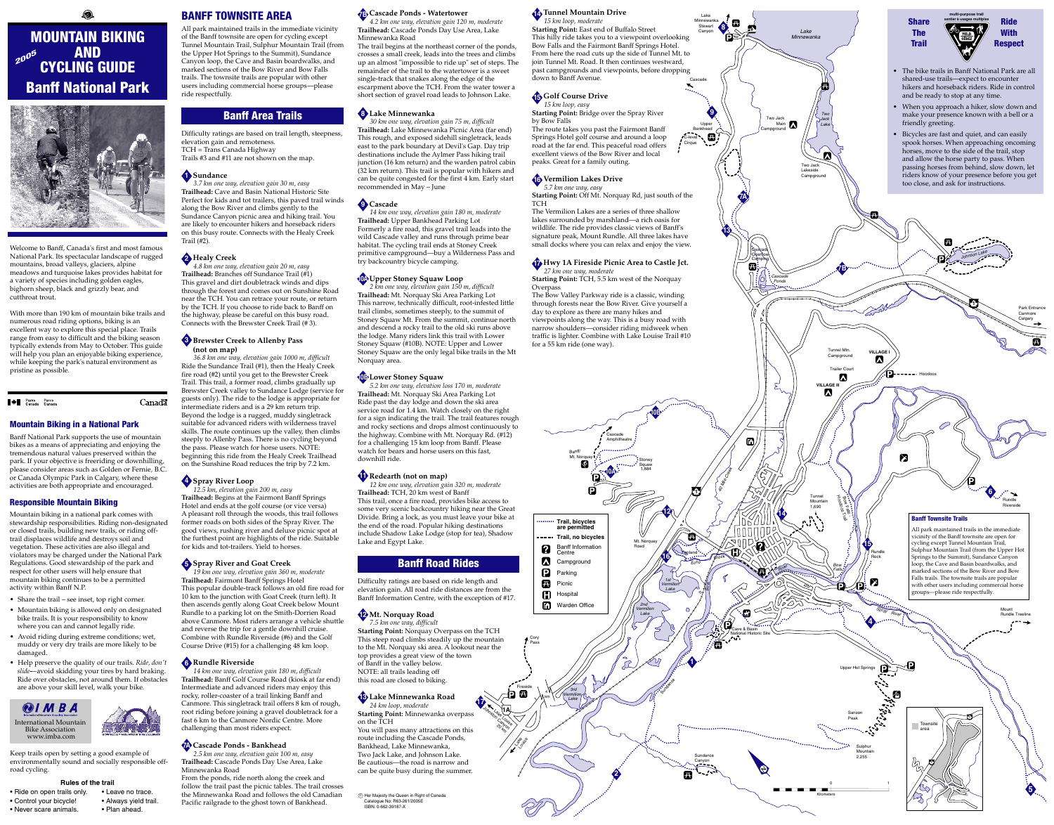Lake LLAN JO<sub>hnston Canyon</sub> <sup>20</sup> km

> Lake Louise

Cory Pass

Fireside

ð Ø

#### Mountain Biking in a National Park

Banff National Park supports the use of mountain bikes as a means of appreciating and enjoying the tremendous natural values preserved within the park. If your objective is freeriding or downhilling, please consider areas such as Golden or Fernie, B.C. or Canada Olympic Park in Calgary, where these activities are both appropriate and encouraged.

#### Responsible Mountain Biking

Mountain biking in a national park comes with stewardship responsibilities. Riding non-designated or closed trails, building new trails, or riding offtrail displaces wildlife and destroys soil and vegetation. These activities are also illegal and violators may be charged under the National Park Regulations. Good stewardship of the park and respect for other users will help ensure that mountain biking continues to be a permitted activity within Banff N.P.

- Share the trail see inset, top right corner.
- Mountain biking is allowed only on designated bike trails. It is your responsibility to know where you can and cannot legally ride.
- Avoid riding during extreme conditions; wet, muddy or very dry trails are more likely to be damaged.
- Help preserve the quality of our trails. *Ride, don't slide*-—avoid skidding your tires by hard braking. Ride over obstacles, not around them. If obstacles are above your skill level, walk your bike.

Welcome to Banff, Canada's first and most famous National Park. Its spectacular landscape of rugged mountains, broad valleys, glaciers, alpine meadows and turquoise lakes provides habitat for a variety of species including golden eagles, bighorn sheep, black and grizzly bear, and cutthroat trout.

With more than 190 km of mountain bike trails and numerous road riding options, biking is an excellent way to explore this special place. Trails range from easy to difficult and the biking season typically extends from May to October. This guide will help you plan an enjoyable biking experience, while keeping the park's natural environment as pristine as possible.

**Allen Parks** Parcs<br>Canada Canada

**Canada** 

*19 km one way, elevation gain 360 m, moderation* **Trailhead:** Fairmont Banff Springs Hotel This popular double-track follows an old fire road for 10 km to the junction with Goat Creek (turn left). It then ascends gently along Goat Creek below Mount Rundle to a parking lot on the Smith-Dorrien Road above Canmore. Most riders arrange a vehicle shuttle and reverse the trip for a gentle downhill cruise. Combine with Rundle Riverside (#6) and the Golf Course Drive (#15) for a challenging 48 km loop.

BANFF TOWNSITE AREA

All park maintained trails in the immediate vicinity of the Banff townsite are open for cycling except Tunnel Mountain Trail, Sulphur Mountain Trail (from the Upper Hot Springs to the Summit), Sundance Canyon loop, the Cave and Basin boardwalks, and marked sections of the Bow River and Bow Falls trails. The townsite trails are popular with other users including commercial horse groups—please ride respectfully.

# Banff Area Trails

Difficulty ratings are based on trail length, steepness, elevation gain and remoteness. TCH = Trans Canada Highway

Trails #3 and #11 are not shown on the map.

*3.7 km one way, elevation gain 30 m, easy* **Trailhead:** Cave and Basin National Historic Site Perfect for kids and tot trailers, this paved trail winds along the Bow River and climbs gently to the Sundance Canyon picnic area and hiking trail. You are likely to encounter hikers and horseback riders on this busy route. Connects with the Healy Creek Trail (#2).

*4.8 km one way, elevation gain 20 m, easy* **Trailhead:** Branches off Sundance Trail (#1) This gravel and dirt doubletrack winds and dips through the forest and comes out on Sunshine Road near the TCH. You can retrace your route, or return by the TCH. If you choose to ride back to Banff on the highway, please be careful on this busy road. Connects with the Brewster Creek Trail (# 3).

#### **Brewster Creek to Allenby Pass 3 (not on map)**

*36.8 km one way, elevation gain 1000 m, difficult* Ride the Sundance Trail (#1), then the Healy Creek fire road (#2) until you get to the Brewster Creek Trail. This trail, a former road, climbs gradually up Brewster Creek valley to Sundance Lodge (service for guests only). The ride to the lodge is appropriate for intermediate riders and is a 29 km return trip. Beyond the lodge is a rugged, muddy singletrack suitable for advanced riders with wilderness travel skills. The route continues up the valley, then climbs steeply to Allenby Pass. There is no cycling beyond the pass. Please watch for horse users. NOTE: beginning this ride from the Healy Creek Trailhead on the Sunshine Road reduces the trip by 7.2 km.

*12.5 km, elevation gain 200 m, easy* **Trailhead:** Begins at the Fairmont Banff Springs Hotel and ends at the golf course (or vice versa) A pleasant roll through the woods, this trail follows former roads on both sides of the Spray River. The good views, rushing river and deluxe picnic spot at the furthest point are highlights of the ride. Suitable for kids and tot-trailers. Yield to horses.

**Trail, no bicycles** 2 Centre **A** Campground  $\mathbf{D}$ Parking  $\mathbf{z}$ Picnic  $\mathbf G$ Hospital  $\mathbf{D}$ 

 $\odot$  Her Majesty the Queen in Right of Canada Catalogue No: R63-261/2005E ISBN: 0-662-39187-X

*14 km one way, elevation gain 180 m, difficult* **Trailhead:** Banff Golf Course Road (kiosk at far end) Intermediate and advanced riders may enjoy this rocky, roller-coaster of a trail linking Banff and Canmore. This singletrack trail offers 8 km of rough, root riding before joining a gravel doubletrack for a fast 6 km to the Canmore Nordic Centre. More challenging than most riders expect.

*2.5 km one way, elevation gain 100 m, easy* **Trailhead:** Cascade Ponds Day Use Area, Lake Minnewanka Road

# MOUNTAIN BIKING AND CYCLING GUIDE Banff National Park 200<sup>5</sup>



From the ponds, ride north along the creek and follow the trail past the picnic tables. The trail crosses the Minnewanka Road and follows the old Canadian Pacific railgrade to the ghost town of Bankhead.

*4.2 km one way, elevation gain 120 m, moderate* **Trailhead:** Cascade Ponds Day Use Area, Lake Minnewanka Road

The trail begins at the northeast corner of the ponds, crosses a small creek, leads into the trees and climbs up an almost "impossible to ride up" set of steps. The remainder of the trail to the watertower is a sweet single-track that snakes along the edge of the escarpment above the TCH. From the water tower a short section of gravel road leads to Johnson Lake.

*30 km one way, elevation gain 75 m, difficult* **Trailhead:** Lake Minnewanka Picnic Area (far end) This rough, and exposed sidehill singletrack, leads east to the park boundary at Devil's Gap. Day trip destinations include the Aylmer Pass hiking trail junction (16 km return) and the warden patrol cabin (32 km return). This trail is popular with hikers and can be quite congested for the first 4 km. Early start recommended in May – June

#### **Sundance 1**

#### **Healy Creek 2**

*14 km one way, elevation gain 180 m, moderate* **Trailhead:** Upper Bankhead Parking Lot Formerly a fire road, this gravel trail leads into the wild Cascade valley and runs through prime bear habitat. The cycling trail ends at Stoney Creek primitive campground—buy a Wilderness Pass and try backcountry bicycle camping.

*2 km one way, elevation gain 150 m, difficult* **Trailhead:** Mt. Norquay Ski Area Parking Lot This narrow, technically difficult, root-infested little trail climbs, sometimes steeply, to the summit of Stoney Squaw Mt. From the summit, continue north and descend a rocky trail to the old ski runs above the lodge. Many riders link this trail with Lower Stoney Squaw (#10B). NOTE: Upper and Lower Stoney Squaw are the only legal bike trails in the Mt Norquay area.

#### **Spray River Loop 4**

#### **Spray River and Goat Creek 5**

*5.2 km one way, elevation loss 170 m, moderate* **Trailhead:** Mt. Norquay Ski Area Parking Lot Ride past the day lodge and down the ski area service road for 1.4 km. Watch closely on the right for a sign indicating the trail. The trail features rough and rocky sections and drops almost continuously to the highway. Combine with Mt. Norquay Rd. (#12) for a challenging 15 km loop from Banff. Please watch for bears and horse users on this fast, downhill ride.

#### **Rundle Riverside 6**

*12 km one way, elevation gain 320 m, moderate* **Trailhead:** TCH, 20 km west of Banff This trail, once a fire road, provides bike access to some very scenic backcountry hiking near the Great Divide. Bring a lock, as you must leave your bike at the end of the road. Popular hiking destinations include Shadow Lake Lodge (stop for tea), Shadow Lake and Egypt Lake.

# **Cascade Ponds - Watertower 7B**



#### **Cascade Ponds - Bankhead 7A**

Difficulty ratings are based on ride length and elevation gain. All road ride distances are from the Banff Information Centre, with the exception of #17.

#### **Lake Minnewanka 8**

*7.5 km one way, difficult* **Starting Point:** Norquay Overpass on the TCH This steep road climbs steadily up the mountain to the Mt. Norquay ski area. A lookout near the top provides a great view of the town of Banff in the valley below. NOTE: all trails leading off this road are closed to biking.

#### **Cascade 9**

#### **Lake Minnewanka Road 13** *24 km loop, moderate*

#### **Upper Stoney Squaw Loop 10A**

**Starting Point:** Minnewanka overpass on the TCH

You will pass many attractions on this route including the Cascade Ponds, Bankhead, Lake Minnewanka, Two Jack Lake, and Johnson Lake. Be cautious—the road is narrow and can be quite busy during the summer.

#### **Lower Stoney Squaw 10B**

# *15 km loop, moderate* down to Banff Avenue.



**Golf Course Drive 15** *15 km loop, easy* by Bow Falls

#### **Mt. Norquay Road 12**

*5.7 km one way, easy* TCH

**Overpass** 



Kilometers

**1A**

**17**





Keep trails open by setting a good example of environmentally sound and socially responsible offroad cycling.

#### **Rules of the trail**

- Ride on open trails only. Leave no trace.
- Control your bicycle! Always yield trail.
- Never scare animals. Plan ahead.

4km